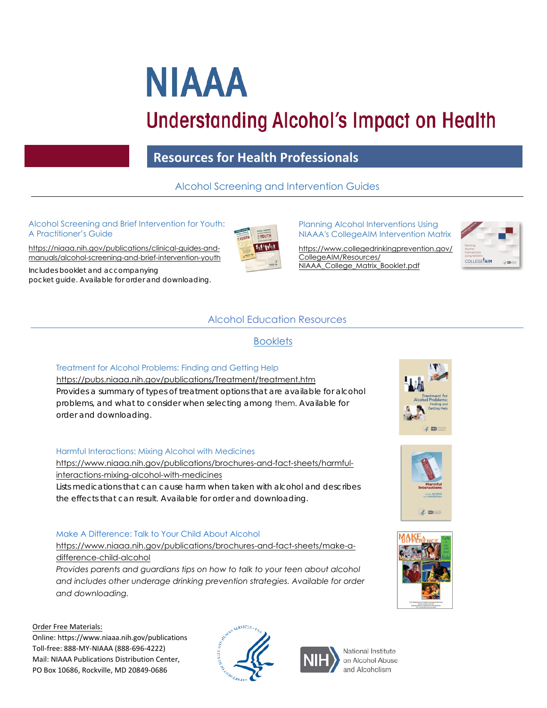# **NIAAA**

# **Understanding Alcohol's Impact on Health**

# **Resources for Health Professionals**

# Alcohol Screening and Intervention Guides

#### Alcohol Screening and Brief Intervention for Youth: A Practitioner's Guide

https://niaaa.nih.gov/publications/clinical-guides-and[manuals/alcohol-screening-and-brief-intervention-youth](https://www.niaaa.nih.gov/publications/clinical-guides-and-manuals/alcohol-screening-and-brief-intervention-youth)

*Includes booklet and accompanying pocket guide. Available for order and downloading.* 



Planning Alcohol Interventions Using NIAAA's CollegeAIM Intervention Matrix

[https://www.collegedrinkingprevention.gov/](https://www.collegedrinkingprevention.gov/CollegeAIM/Resources/NIAAA_College_Matrix_Booklet.pdf) CollegeAIM/Resources/ NIAAA\_College\_Matrix\_Booklet.pdf



## Alcohol Education Resources

#### **Booklets**

#### Treatment for Alcohol Problems: Finding and Getting Help

<https://pubs.niaaa.nih.gov/publications/Treatment/treatment.htm> *Provides a summary of types of treatment options that are available for alcohol problems, and what to consider when selecting among* them. *Available for order and downloading.* 

#### Harmful Interactions: Mixing Alcohol with Medicines

[https://www.niaaa.nih.gov/publications/brochures-and-fact-sheets/harmful](https://www.niaaa.nih.gov/publications/brochures-and-fact-sheets/harmful-interactions-mixing-alcohol-with-medicines)interactions-mixing-alcohol-with-medicines

*Lists medications that can cause harm when taken with alcohol and describes the effects that can result*. *Available for order and downloading.* 

#### Make A Difference: Talk to Your Child About Alcohol

https://www.niaaa.nih.gov/publications/brochures-and-fact-sheets/make-adifference-child-alcohol

*Provides parents and guardians tips on how to talk to your teen about alcohol [and includes other underage drinking prevention strategies. Available for order](https://www.niaaa.nih.gov/publications/brochures-and-fact-sheets/make-a-difference-child-alcohol) and downloading.*

Order Free Materials:

Online: <https://www.niaaa.nih.gov/publications> Toll-free: 888-MY-NIAAA (888-696-4222) Mail: NIAAA Publications Distribution Center, PO Box 10686, Rockville, MD 20849-0686





National Institute on Alcohol Abuse and Alcoholism





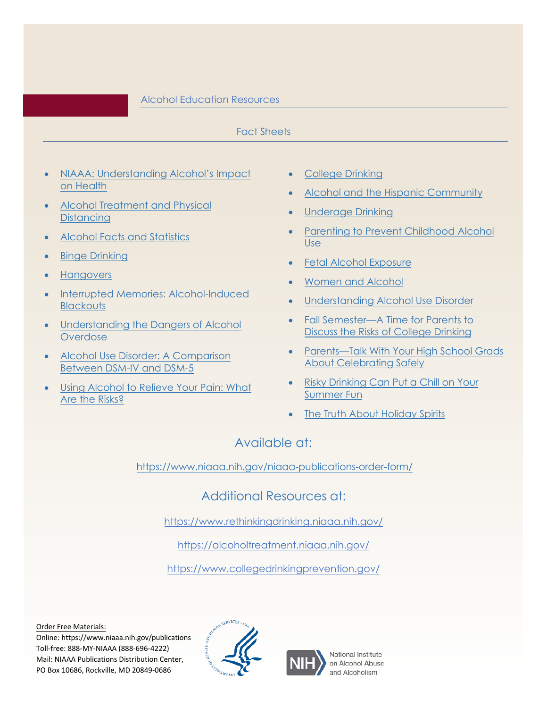#### Alcohol Education Resources

#### Fact Sheets

- [NIAAA: Understanding](https://www.niaaa.nih.gov/publications/brochures-and-fact-sheets/understanding-alcohol-impact-health) Alcohol's Impact on Health
- [Alcohol Treatment and Physical](https://www.niaaa.nih.gov/publications/brochures-and-fact-sheets/alcohol-treatment-and-physical-distancing) **Distancing**
- Alcohol Facts [and Statistics](https://www.niaaa.nih.gov/publications/brochures-and-fact-sheets/alcohol-facts-and-statistics)
- **[Binge Drinking](https://www.niaaa.nih.gov/publications/brochures-and-fact-sheets/binge-drinking)**
- **[Hangovers](https://www.niaaa.nih.gov/publications/brochures-and-fact-sheets/hangovers)**
- [Interrupted Memories: Alcohol-Induced](https://www.niaaa.nih.gov/publications/brochures-and-fact-sheets/interrupted-memories-alcohol-induced-blackouts) **Blackouts**
- [Understanding the Dangers of Alcohol](https://www.niaaa.nih.gov/publications/brochures-and-fact-sheets/understanding-dangers-of-alcohol-overdose) **Overdose**
- Alcohol Use Disorder: A Comparison [Between DSM-IV](https://www.niaaa.nih.gov/publications/brochures-and-fact-sheets/alcohol-use-disorder-comparison-between-dsm) and DSM-5
- **[Using Alcohol to Relieve Your Pain: What](https://www.niaaa.nih.gov/publications/brochures-and-fact-sheets/using-alcohol-to-relieve-your-pain)** Are the Risks?
- [College Drinking](https://www.niaaa.nih.gov/publications/brochures-and-fact-sheets/college-drinking)
- [Alcohol and the Hispanic Community](https://www.niaaa.nih.gov/publications/brochures-and-fact-sheets/alcohol-and-hispanic-community)
- [Underage](https://www.niaaa.nih.gov/publications/brochures-and-fact-sheets/underage-drinking) Drinking
- Parenting to Prevent [Childhood](https://www.niaaa.nih.gov/publications/brochures-and-fact-sheets/parenting-prevent-childhood-alcohol-use) Alcohol Use
- [Fetal Alcohol Exposure](https://www.niaaa.nih.gov/publications/brochures-and-fact-sheets/fetal-alcohol-exposure)
- [Women](https://www.niaaa.nih.gov/sites/default/files/publications/22295_NIAAA_WomenAlcohol_Factsheet_English_v1_NSDUH_Update_Oct2020.pdf) and Alcohol
- [Understanding Alcohol Use Disorder](https://www.niaaa.nih.gov/sites/default/files/publications/Alcohol_Use_Disorder.pdf)
- Fall [Semester—A Time](https://www.niaaa.nih.gov/publications/brochures-and-fact-sheets/time-for-parents-discuss-risks-college-drinking) for Parents to Discuss the Risks of College Drinking
- [Parents—Talk With Your High School Grads](https://www.niaaa.nih.gov/publications/brochures-and-fact-sheets/talk-with-your-high-school-grads-about-celebrating-safely) About Celebrating Safely
- Risky Drinking Can Put a Chill on Your [Summer](https://www.niaaa.nih.gov/publications/brochures-and-fact-sheets/risky-drinking-can-put-chill-on-your-summer-fun) Fun
- The Truth About [Holiday](https://www.niaaa.nih.gov/publications/brochures-and-fact-sheets/truth-about-holiday-spirits) Spirits

## Available at:

[https://www.niaaa.nih.gov/niaaa-publications-order-form/](https://www.niaaa.nih.gov/niaaa-publications-order-form)

Additional Resources at:

[https://www.rethinkingdrinking.niaaa.nih.gov/](https://alcoholtreatment.niaaa.nih.gov/)

<https://alcoholtreatment.niaaa.nih.gov/>

<https://www.collegedrinkingprevention.gov/>

Order Free Materials:

Online: <https://www.niaaa.nih.gov/publications> Toll-free: 888-MY-NIAAA (888-696-4222) Mail: NIAAA Publications Distribution Center, PO Box 10686, Rockville, MD 20849-0686





National Institute on Alcohol Abuse and Alcoholism